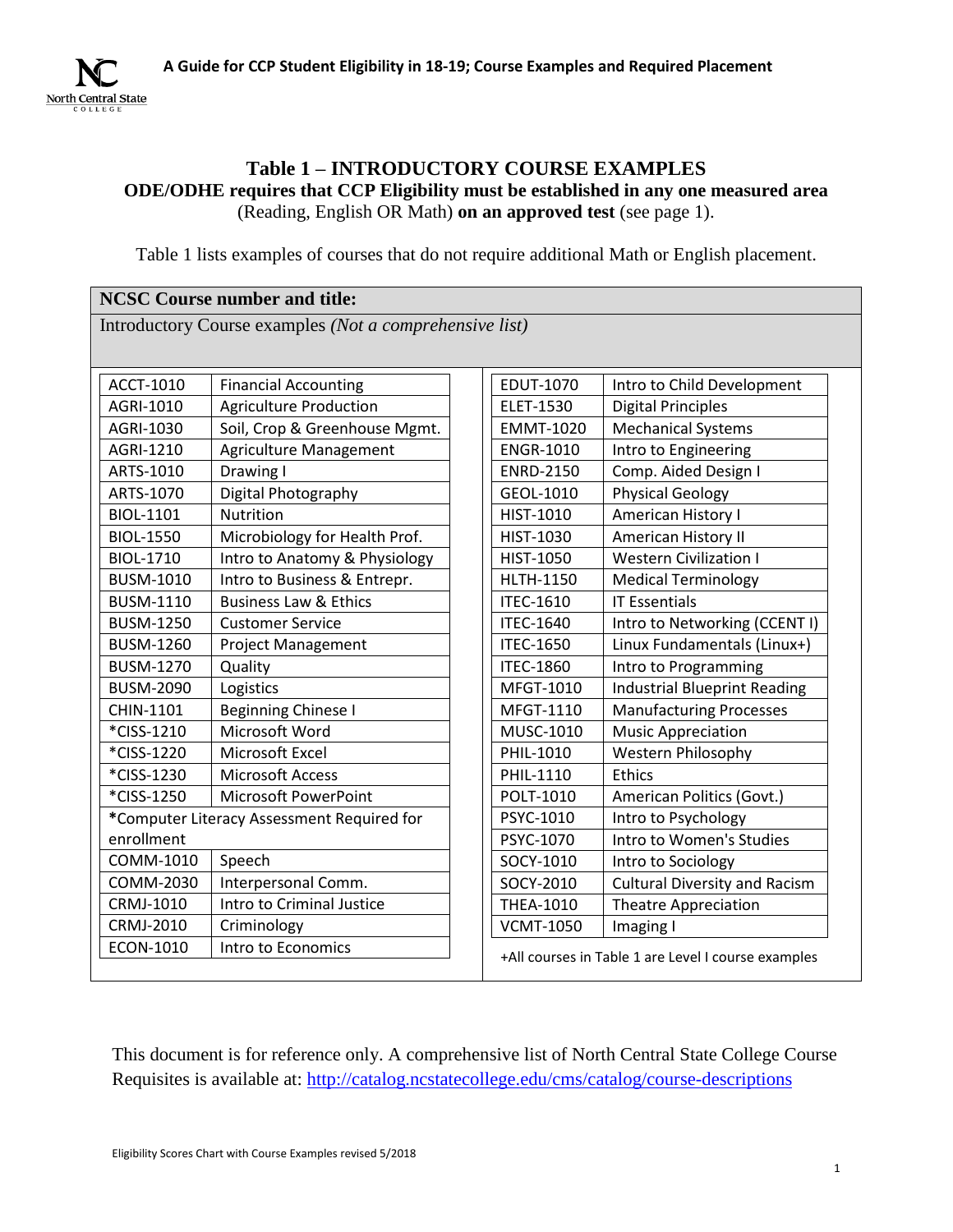

#### **Table 1 – INTRODUCTORY COURSE EXAMPLES**

**ODE/ODHE requires that CCP Eligibility must be established in any one measured area** (Reading, English OR Math) **on an approved test** (see page 1).

Table 1 lists examples of courses that do not require additional Math or English placement.

#### **NCSC Course number and title:**

Introductory Course examples *(Not a comprehensive list)*

| ACCT-1010                                  | <b>Financial Accounting</b>      | EDUT-1070        | Intro to Child Development                          |
|--------------------------------------------|----------------------------------|------------------|-----------------------------------------------------|
| AGRI-1010                                  | <b>Agriculture Production</b>    | ELET-1530        | <b>Digital Principles</b>                           |
| AGRI-1030                                  | Soil, Crop & Greenhouse Mgmt.    | <b>EMMT-1020</b> | <b>Mechanical Systems</b>                           |
| AGRI-1210                                  | <b>Agriculture Management</b>    | <b>ENGR-1010</b> | Intro to Engineering                                |
| ARTS-1010                                  | Drawing I                        | <b>ENRD-2150</b> | Comp. Aided Design I                                |
| ARTS-1070                                  | Digital Photography              | GEOL-1010        | <b>Physical Geology</b>                             |
| BIOL-1101                                  | <b>Nutrition</b>                 | HIST-1010        | American History I                                  |
| <b>BIOL-1550</b>                           | Microbiology for Health Prof.    | HIST-1030        | American History II                                 |
| BIOL-1710                                  | Intro to Anatomy & Physiology    | <b>HIST-1050</b> | <b>Western Civilization I</b>                       |
| <b>BUSM-1010</b>                           | Intro to Business & Entrepr.     | <b>HLTH-1150</b> | <b>Medical Terminology</b>                          |
| <b>BUSM-1110</b>                           | <b>Business Law &amp; Ethics</b> | <b>ITEC-1610</b> | <b>IT Essentials</b>                                |
| <b>BUSM-1250</b>                           | <b>Customer Service</b>          | <b>ITEC-1640</b> | Intro to Networking (CCENT I)                       |
| <b>BUSM-1260</b>                           | <b>Project Management</b>        | <b>ITEC-1650</b> | Linux Fundamentals (Linux+)                         |
| <b>BUSM-1270</b>                           | Quality                          | <b>ITEC-1860</b> | Intro to Programming                                |
| <b>BUSM-2090</b>                           | Logistics                        | MFGT-1010        | <b>Industrial Blueprint Reading</b>                 |
| CHIN-1101                                  | <b>Beginning Chinese I</b>       | MFGT-1110        | <b>Manufacturing Processes</b>                      |
| *CISS-1210                                 | Microsoft Word                   | MUSC-1010        | <b>Music Appreciation</b>                           |
| *CISS-1220                                 | Microsoft Excel                  | PHIL-1010        | <b>Western Philosophy</b>                           |
| *CISS-1230                                 | <b>Microsoft Access</b>          | PHIL-1110        | <b>Ethics</b>                                       |
| *CISS-1250                                 | Microsoft PowerPoint             | POLT-1010        | American Politics (Govt.)                           |
| *Computer Literacy Assessment Required for |                                  | PSYC-1010        | Intro to Psychology                                 |
| enrollment                                 |                                  | PSYC-1070        | Intro to Women's Studies                            |
| COMM-1010                                  | Speech                           | SOCY-1010        | Intro to Sociology                                  |
| COMM-2030                                  | Interpersonal Comm.              | SOCY-2010        | <b>Cultural Diversity and Racism</b>                |
| CRMJ-1010                                  | Intro to Criminal Justice        | <b>THEA-1010</b> | <b>Theatre Appreciation</b>                         |
| CRMJ-2010                                  | Criminology                      | <b>VCMT-1050</b> | Imaging I                                           |
| ECON-1010                                  | Intro to Economics               |                  | +All courses in Table 1 are Level I course examples |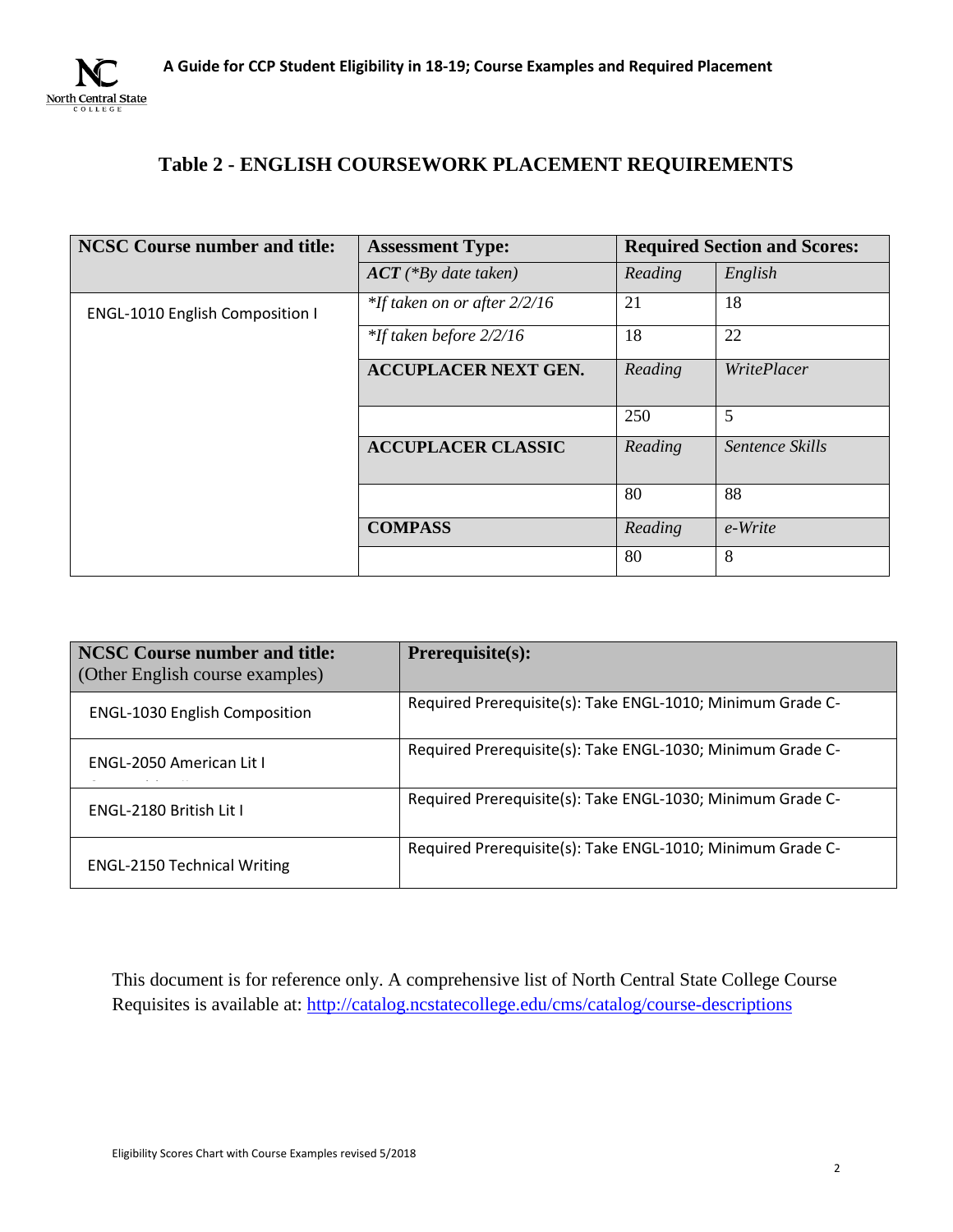

# **Table 2 - ENGLISH COURSEWORK PLACEMENT REQUIREMENTS**

| <b>NCSC Course number and title:</b>   | <b>Assessment Type:</b>         | <b>Required Section and Scores:</b> |                    |
|----------------------------------------|---------------------------------|-------------------------------------|--------------------|
|                                        | $ACT$ (*By date taken)          | Reading                             | English            |
| <b>ENGL-1010 English Composition I</b> | $*$ If taken on or after 2/2/16 | 21                                  | 18                 |
|                                        | *If taken before 2/2/16         | 18                                  | 22                 |
|                                        | <b>ACCUPLACER NEXT GEN.</b>     | Reading                             | <i>WritePlacer</i> |
|                                        |                                 | 250                                 | 5                  |
|                                        | <b>ACCUPLACER CLASSIC</b>       | Reading                             | Sentence Skills    |
|                                        |                                 | 80                                  | 88                 |
|                                        | <b>COMPASS</b>                  | Reading                             | e-Write            |
|                                        |                                 | 80                                  | 8                  |

| <b>NCSC Course number and title:</b><br>(Other English course examples) | <b>Prerequisite(s):</b>                                    |
|-------------------------------------------------------------------------|------------------------------------------------------------|
| <b>ENGL-1030 English Composition</b>                                    | Required Prerequisite(s): Take ENGL-1010; Minimum Grade C- |
| <b>ENGL-2050 American Lit L</b>                                         | Required Prerequisite(s): Take ENGL-1030; Minimum Grade C- |
| ENGL-2180 British Lit I                                                 | Required Prerequisite(s): Take ENGL-1030; Minimum Grade C- |
| <b>ENGL-2150 Technical Writing</b>                                      | Required Prerequisite(s): Take ENGL-1010; Minimum Grade C- |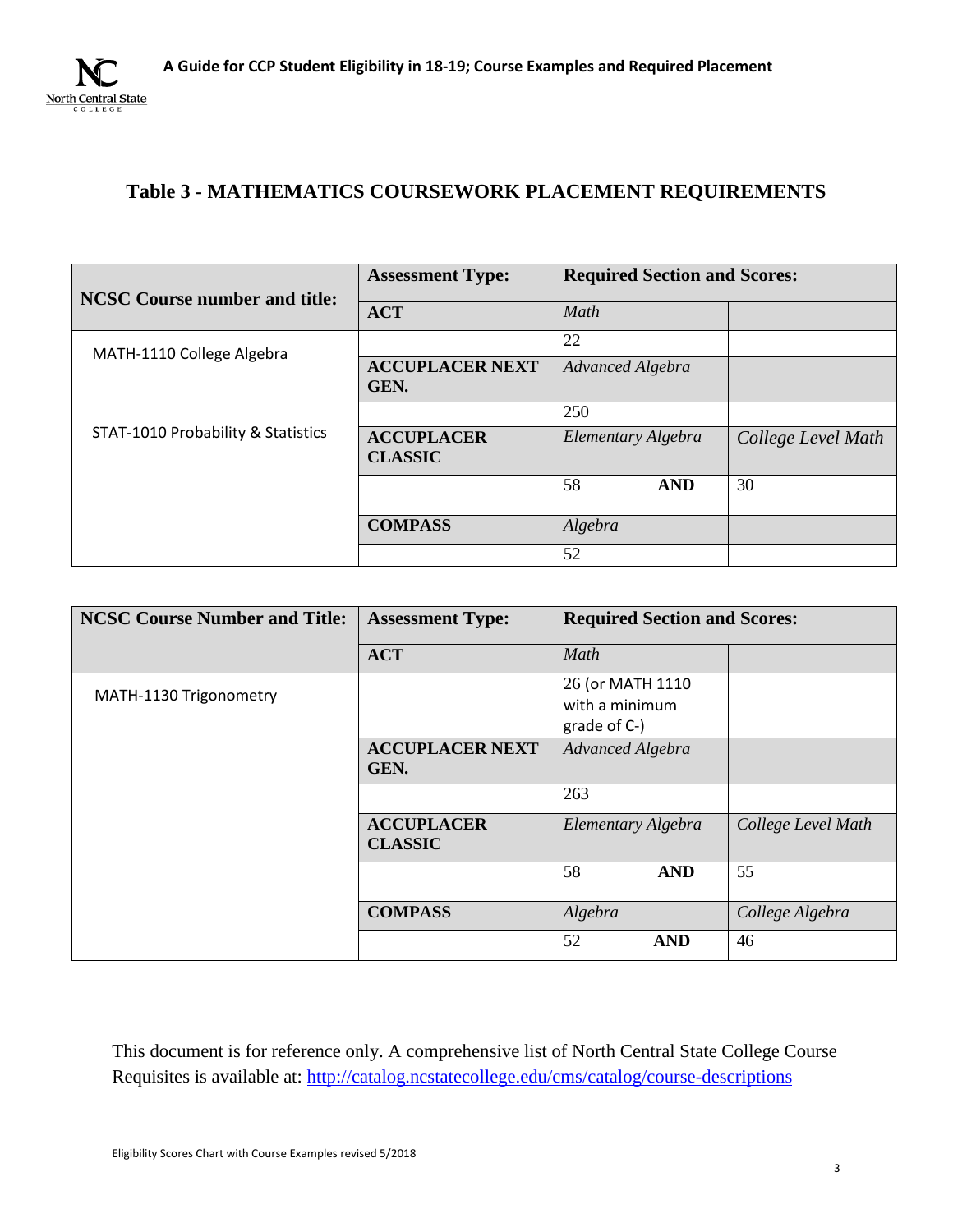

## **Table 3 - MATHEMATICS COURSEWORK PLACEMENT REQUIREMENTS**

| <b>NCSC Course number and title:</b> | <b>Assessment Type:</b>             | <b>Required Section and Scores:</b> |                    |
|--------------------------------------|-------------------------------------|-------------------------------------|--------------------|
|                                      | <b>ACT</b>                          | Math                                |                    |
| MATH-1110 College Algebra            |                                     | 22                                  |                    |
|                                      | <b>ACCUPLACER NEXT</b><br>GEN.      | Advanced Algebra                    |                    |
|                                      |                                     | 250                                 |                    |
| STAT-1010 Probability & Statistics   | <b>ACCUPLACER</b><br><b>CLASSIC</b> | Elementary Algebra                  | College Level Math |
|                                      |                                     | 58<br><b>AND</b>                    | 30                 |
|                                      | <b>COMPASS</b>                      | Algebra                             |                    |
|                                      |                                     | 52                                  |                    |

| <b>NCSC Course Number and Title:</b> | <b>Assessment Type:</b>             | <b>Required Section and Scores:</b>                |                    |
|--------------------------------------|-------------------------------------|----------------------------------------------------|--------------------|
|                                      | <b>ACT</b>                          | Math                                               |                    |
| MATH-1130 Trigonometry               |                                     | 26 (or MATH 1110<br>with a minimum<br>grade of C-) |                    |
|                                      | <b>ACCUPLACER NEXT</b><br>GEN.      | Advanced Algebra                                   |                    |
|                                      |                                     | 263                                                |                    |
|                                      | <b>ACCUPLACER</b><br><b>CLASSIC</b> | Elementary Algebra                                 | College Level Math |
|                                      |                                     | 58<br><b>AND</b>                                   | 55                 |
|                                      | <b>COMPASS</b>                      | Algebra                                            | College Algebra    |
|                                      |                                     | 52<br><b>AND</b>                                   | 46                 |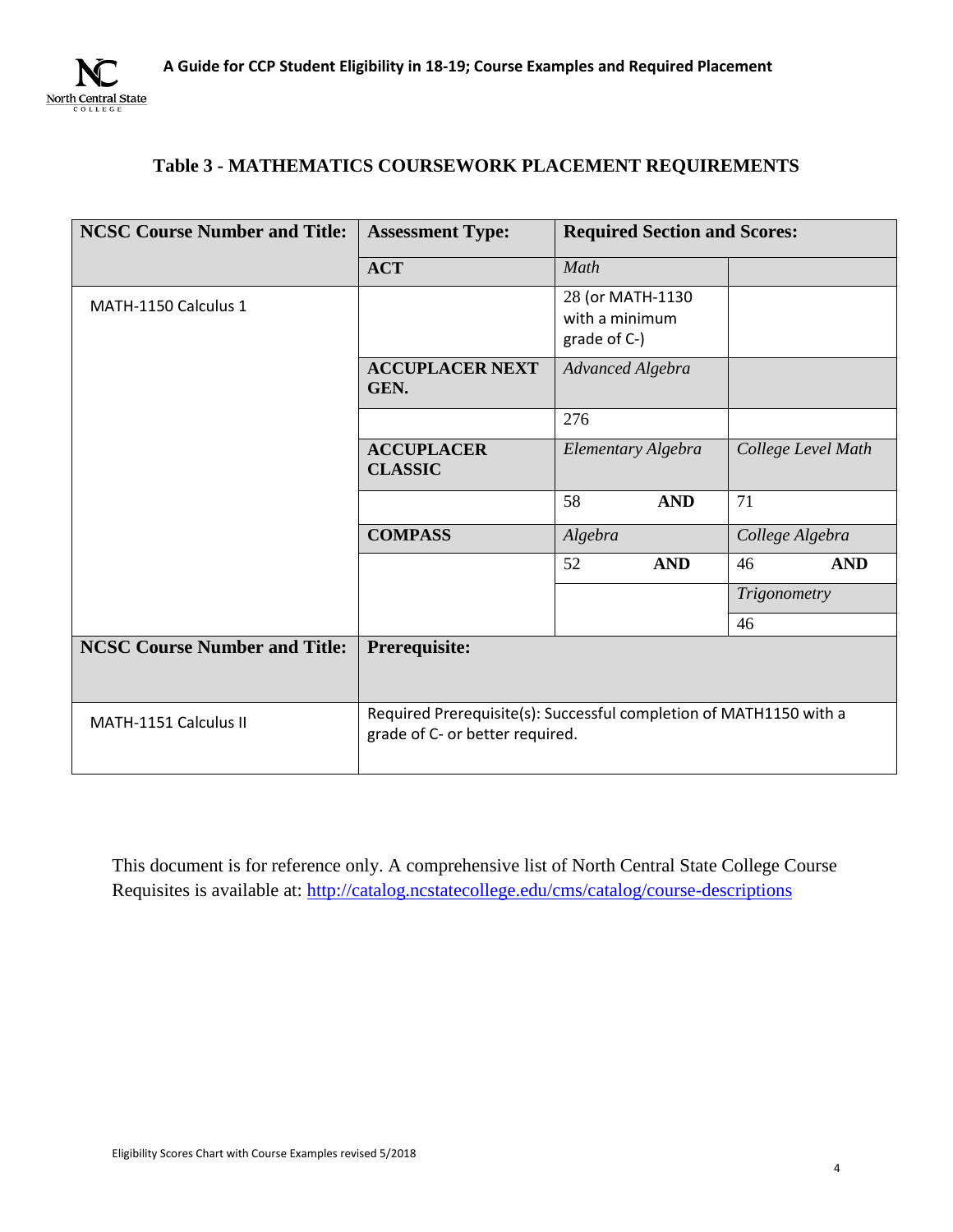

## **Table 3 - MATHEMATICS COURSEWORK PLACEMENT REQUIREMENTS**

| <b>NCSC Course Number and Title:</b> | <b>Required Section and Scores:</b><br><b>Assessment Type:</b>                                        |                                                    |                    |
|--------------------------------------|-------------------------------------------------------------------------------------------------------|----------------------------------------------------|--------------------|
|                                      | <b>ACT</b>                                                                                            | Math                                               |                    |
| MATH-1150 Calculus 1                 |                                                                                                       | 28 (or MATH-1130<br>with a minimum<br>grade of C-) |                    |
|                                      | <b>ACCUPLACER NEXT</b><br>GEN.                                                                        | Advanced Algebra                                   |                    |
|                                      |                                                                                                       | 276                                                |                    |
|                                      | <b>ACCUPLACER</b><br><b>CLASSIC</b>                                                                   | Elementary Algebra                                 | College Level Math |
|                                      |                                                                                                       | 58<br><b>AND</b>                                   | 71                 |
|                                      | <b>COMPASS</b>                                                                                        | Algebra                                            | College Algebra    |
|                                      |                                                                                                       | <b>AND</b><br>52                                   | 46<br><b>AND</b>   |
|                                      |                                                                                                       |                                                    | Trigonometry       |
|                                      |                                                                                                       |                                                    | 46                 |
| <b>NCSC Course Number and Title:</b> | Prerequisite:                                                                                         |                                                    |                    |
| MATH-1151 Calculus II                | Required Prerequisite(s): Successful completion of MATH1150 with a<br>grade of C- or better required. |                                                    |                    |